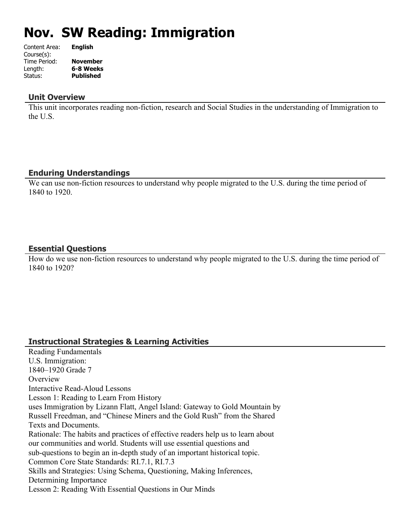# **Nov. SW Reading: Immigration**

| Content Area: | <b>English</b>   |
|---------------|------------------|
| Course(s):    |                  |
| Time Period:  | <b>November</b>  |
| Length:       | 6-8 Weeks        |
| Status:       | <b>Published</b> |
|               |                  |

#### **Unit Overview**

This unit incorporates reading non-fiction, research and Social Studies in the understanding of Immigration to the U.S.

#### **Enduring Understandings**

We can use non-fiction resources to understand why people migrated to the U.S. during the time period of 1840 to 1920.

## **Essential Questions**

How do we use non-fiction resources to understand why people migrated to the U.S. during the time period of 1840 to 1920?

#### **Instructional Strategies & Learning Activities**

Reading Fundamentals U.S. Immigration: 1840–1920 Grade 7 **Overview** Interactive Read-Aloud Lessons Lesson 1: Reading to Learn From History uses Immigration by Lizann Flatt, Angel Island: Gateway to Gold Mountain by Russell Freedman, and "Chinese Miners and the Gold Rush" from the Shared Texts and Documents. Rationale: The habits and practices of effective readers help us to learn about our communities and world. Students will use essential questions and sub-questions to begin an in-depth study of an important historical topic. Common Core State Standards: RI.7.1, RI.7.3 Skills and Strategies: Using Schema, Questioning, Making Inferences, Determining Importance Lesson 2: Reading With Essential Questions in Our Minds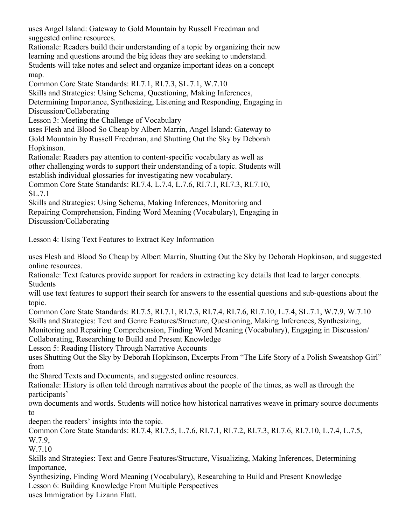uses Angel Island: Gateway to Gold Mountain by Russell Freedman and suggested online resources.

Rationale: Readers build their understanding of a topic by organizing their new learning and questions around the big ideas they are seeking to understand. Students will take notes and select and organize important ideas on a concept map.

Common Core State Standards: RI.7.1, RI.7.3, SL.7.1, W.7.10

Skills and Strategies: Using Schema, Questioning, Making Inferences,

Determining Importance, Synthesizing, Listening and Responding, Engaging in Discussion/Collaborating

Lesson 3: Meeting the Challenge of Vocabulary

uses Flesh and Blood So Cheap by Albert Marrin, Angel Island: Gateway to Gold Mountain by Russell Freedman, and Shutting Out the Sky by Deborah Hopkinson.

Rationale: Readers pay attention to content-specific vocabulary as well as other challenging words to support their understanding of a topic. Students will establish individual glossaries for investigating new vocabulary.

Common Core State Standards: RI.7.4, L.7.4, L.7.6, RI.7.1, RI.7.3, RI.7.10, SL.7.1

Skills and Strategies: Using Schema, Making Inferences, Monitoring and Repairing Comprehension, Finding Word Meaning (Vocabulary), Engaging in Discussion/Collaborating

Lesson 4: Using Text Features to Extract Key Information

uses Flesh and Blood So Cheap by Albert Marrin, Shutting Out the Sky by Deborah Hopkinson, and suggested online resources.

Rationale: Text features provide support for readers in extracting key details that lead to larger concepts. Students

will use text features to support their search for answers to the essential questions and sub-questions about the topic.

Common Core State Standards: RI.7.5, RI.7.1, RI.7.3, RI.7.4, RI.7.6, RI.7.10, L.7.4, SL.7.1, W.7.9, W.7.10 Skills and Strategies: Text and Genre Features/Structure, Questioning, Making Inferences, Synthesizing, Monitoring and Repairing Comprehension, Finding Word Meaning (Vocabulary), Engaging in Discussion/

Collaborating, Researching to Build and Present Knowledge

Lesson 5: Reading History Through Narrative Accounts

uses Shutting Out the Sky by Deborah Hopkinson, Excerpts From "The Life Story of a Polish Sweatshop Girl" from

the Shared Texts and Documents, and suggested online resources.

Rationale: History is often told through narratives about the people of the times, as well as through the participants'

own documents and words. Students will notice how historical narratives weave in primary source documents to

deepen the readers' insights into the topic.

Common Core State Standards: RI.7.4, RI.7.5, L.7.6, RI.7.1, RI.7.2, RI.7.3, RI.7.6, RI.7.10, L.7.4, L.7.5, W.7.9,

W.7.10

Skills and Strategies: Text and Genre Features/Structure, Visualizing, Making Inferences, Determining Importance,

Synthesizing, Finding Word Meaning (Vocabulary), Researching to Build and Present Knowledge Lesson 6: Building Knowledge From Multiple Perspectives

uses Immigration by Lizann Flatt.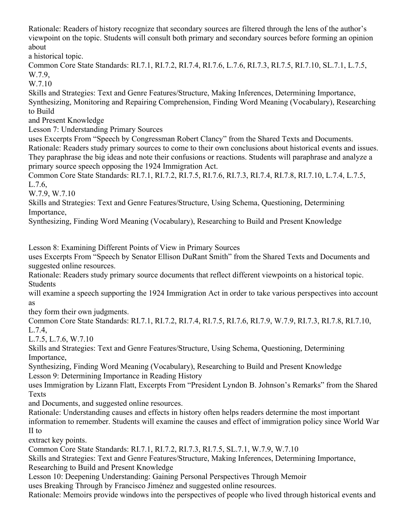Rationale: Readers of history recognize that secondary sources are filtered through the lens of the author's viewpoint on the topic. Students will consult both primary and secondary sources before forming an opinion about

a historical topic.

Common Core State Standards: RI.7.1, RI.7.2, RI.7.4, RI.7.6, L.7.6, RI.7.3, RI.7.5, RI.7.10, SL.7.1, L.7.5, W.7.9,

W.7.10

Skills and Strategies: Text and Genre Features/Structure, Making Inferences, Determining Importance, Synthesizing, Monitoring and Repairing Comprehension, Finding Word Meaning (Vocabulary), Researching to Build

and Present Knowledge

Lesson 7: Understanding Primary Sources

uses Excerpts From "Speech by Congressman Robert Clancy" from the Shared Texts and Documents. Rationale: Readers study primary sources to come to their own conclusions about historical events and issues. They paraphrase the big ideas and note their confusions or reactions. Students will paraphrase and analyze a primary source speech opposing the 1924 Immigration Act.

Common Core State Standards: RI.7.1, RI.7.2, RI.7.5, RI.7.6, RI.7.3, RI.7.4, RI.7.8, RI.7.10, L.7.4, L.7.5, L.7.6,

W.7.9, W.7.10

Skills and Strategies: Text and Genre Features/Structure, Using Schema, Questioning, Determining Importance,

Synthesizing, Finding Word Meaning (Vocabulary), Researching to Build and Present Knowledge

Lesson 8: Examining Different Points of View in Primary Sources

uses Excerpts From "Speech by Senator Ellison DuRant Smith" from the Shared Texts and Documents and suggested online resources.

Rationale: Readers study primary source documents that reflect different viewpoints on a historical topic. Students

will examine a speech supporting the 1924 Immigration Act in order to take various perspectives into account as

they form their own judgments.

Common Core State Standards: RI.7.1, RI.7.2, RI.7.4, RI.7.5, RI.7.6, RI.7.9, W.7.9, RI.7.3, RI.7.8, RI.7.10, L.7.4,

L.7.5, L.7.6, W.7.10

Skills and Strategies: Text and Genre Features/Structure, Using Schema, Questioning, Determining Importance,

Synthesizing, Finding Word Meaning (Vocabulary), Researching to Build and Present Knowledge Lesson 9: Determining Importance in Reading History

uses Immigration by Lizann Flatt, Excerpts From "President Lyndon B. Johnson's Remarks" from the Shared **Texts** 

and Documents, and suggested online resources.

Rationale: Understanding causes and effects in history often helps readers determine the most important information to remember. Students will examine the causes and effect of immigration policy since World War II to

extract key points.

Common Core State Standards: RI.7.1, RI.7.2, RI.7.3, RI.7.5, SL.7.1, W.7.9, W.7.10

Skills and Strategies: Text and Genre Features/Structure, Making Inferences, Determining Importance, Researching to Build and Present Knowledge

Lesson 10: Deepening Understanding: Gaining Personal Perspectives Through Memoir

uses Breaking Through by Francisco Jiménez and suggested online resources.

Rationale: Memoirs provide windows into the perspectives of people who lived through historical events and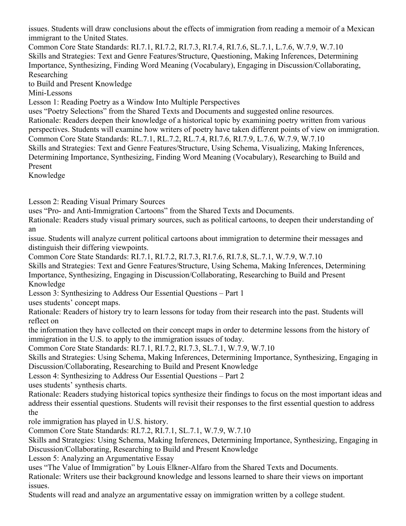issues. Students will draw conclusions about the effects of immigration from reading a memoir of a Mexican immigrant to the United States.

Common Core State Standards: RI.7.1, RI.7.2, RI.7.3, RI.7.4, RI.7.6, SL.7.1, L.7.6, W.7.9, W.7.10 Skills and Strategies: Text and Genre Features/Structure, Questioning, Making Inferences, Determining Importance, Synthesizing, Finding Word Meaning (Vocabulary), Engaging in Discussion/Collaborating, Researching

to Build and Present Knowledge

Mini-Lessons

Lesson 1: Reading Poetry as a Window Into Multiple Perspectives

uses "Poetry Selections" from the Shared Texts and Documents and suggested online resources. Rationale: Readers deepen their knowledge of a historical topic by examining poetry written from various perspectives. Students will examine how writers of poetry have taken different points of view on immigration. Common Core State Standards: RL.7.1, RL.7.2, RL.7.4, RI.7.6, RI.7.9, L.7.6, W.7.9, W.7.10 Skills and Strategies: Text and Genre Features/Structure, Using Schema, Visualizing, Making Inferences, Determining Importance, Synthesizing, Finding Word Meaning (Vocabulary), Researching to Build and Present

Knowledge

Lesson 2: Reading Visual Primary Sources

uses "Pro- and Anti-Immigration Cartoons" from the Shared Texts and Documents.

Rationale: Readers study visual primary sources, such as political cartoons, to deepen their understanding of an

issue. Students will analyze current political cartoons about immigration to determine their messages and distinguish their differing viewpoints.

Common Core State Standards: RI.7.1, RI.7.2, RI.7.3, RI.7.6, RI.7.8, SL.7.1, W.7.9, W.7.10

Skills and Strategies: Text and Genre Features/Structure, Using Schema, Making Inferences, Determining Importance, Synthesizing, Engaging in Discussion/Collaborating, Researching to Build and Present Knowledge

Lesson 3: Synthesizing to Address Our Essential Questions – Part 1

uses students' concept maps.

Rationale: Readers of history try to learn lessons for today from their research into the past. Students will reflect on

the information they have collected on their concept maps in order to determine lessons from the history of immigration in the U.S. to apply to the immigration issues of today.

Common Core State Standards: RI.7.1, RI.7.2, RI.7.3, SL.7.1, W.7.9, W.7.10

Skills and Strategies: Using Schema, Making Inferences, Determining Importance, Synthesizing, Engaging in Discussion/Collaborating, Researching to Build and Present Knowledge

Lesson 4: Synthesizing to Address Our Essential Questions – Part 2

uses students' synthesis charts.

Rationale: Readers studying historical topics synthesize their findings to focus on the most important ideas and address their essential questions. Students will revisit their responses to the first essential question to address the

role immigration has played in U.S. history.

Common Core State Standards: RI.7.2, RI.7.1, SL.7.1, W.7.9, W.7.10

Skills and Strategies: Using Schema, Making Inferences, Determining Importance, Synthesizing, Engaging in Discussion/Collaborating, Researching to Build and Present Knowledge

Lesson 5: Analyzing an Argumentative Essay

uses "The Value of Immigration" by Louis Elkner-Alfaro from the Shared Texts and Documents.

Rationale: Writers use their background knowledge and lessons learned to share their views on important issues.

Students will read and analyze an argumentative essay on immigration written by a college student.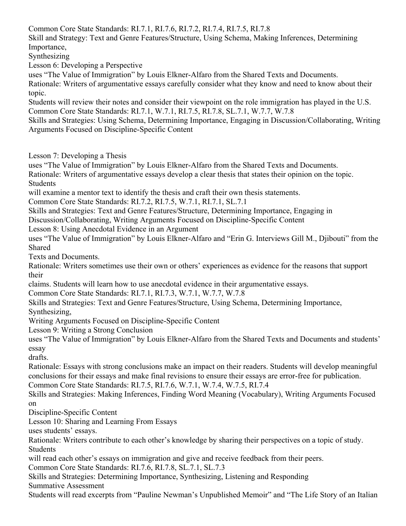Common Core State Standards: RI.7.1, RI.7.6, RI.7.2, RI.7.4, RI.7.5, RI.7.8

Skill and Strategy: Text and Genre Features/Structure, Using Schema, Making Inferences, Determining Importance,

Synthesizing

Lesson 6: Developing a Perspective

uses "The Value of Immigration" by Louis Elkner-Alfaro from the Shared Texts and Documents. Rationale: Writers of argumentative essays carefully consider what they know and need to know about their

topic. Students will review their notes and consider their viewpoint on the role immigration has played in the U.S. Common Core State Standards: RI.7.1, W.7.1, RI.7.5, RI.7.8, SL.7.1, W.7.7, W.7.8

Skills and Strategies: Using Schema, Determining Importance, Engaging in Discussion/Collaborating, Writing Arguments Focused on Discipline-Specific Content

Lesson 7: Developing a Thesis

uses "The Value of Immigration" by Louis Elkner-Alfaro from the Shared Texts and Documents.

Rationale: Writers of argumentative essays develop a clear thesis that states their opinion on the topic. **Students** 

will examine a mentor text to identify the thesis and craft their own thesis statements.

Common Core State Standards: RI.7.2, RI.7.5, W.7.1, RI.7.1, SL.7.1

Skills and Strategies: Text and Genre Features/Structure, Determining Importance, Engaging in

Discussion/Collaborating, Writing Arguments Focused on Discipline-Specific Content

Lesson 8: Using Anecdotal Evidence in an Argument

uses "The Value of Immigration" by Louis Elkner-Alfaro and "Erin G. Interviews Gill M., Djibouti" from the Shared

Texts and Documents.

Rationale: Writers sometimes use their own or others' experiences as evidence for the reasons that support their

claims. Students will learn how to use anecdotal evidence in their argumentative essays.

Common Core State Standards: RI.7.1, RI.7.3, W.7.1, W.7.7, W.7.8

Skills and Strategies: Text and Genre Features/Structure, Using Schema, Determining Importance,

Synthesizing,

Writing Arguments Focused on Discipline-Specific Content

Lesson 9: Writing a Strong Conclusion

uses "The Value of Immigration" by Louis Elkner-Alfaro from the Shared Texts and Documents and students' essay

drafts.

Rationale: Essays with strong conclusions make an impact on their readers. Students will develop meaningful conclusions for their essays and make final revisions to ensure their essays are error-free for publication. Common Core State Standards: RI.7.5, RI.7.6, W.7.1, W.7.4, W.7.5, RI.7.4

Skills and Strategies: Making Inferences, Finding Word Meaning (Vocabulary), Writing Arguments Focused on

Discipline-Specific Content

Lesson 10: Sharing and Learning From Essays

uses students' essays.

Rationale: Writers contribute to each other's knowledge by sharing their perspectives on a topic of study. Students

will read each other's essays on immigration and give and receive feedback from their peers.

Common Core State Standards: RI.7.6, RI.7.8, SL.7.1, SL.7.3

Skills and Strategies: Determining Importance, Synthesizing, Listening and Responding Summative Assessment

Students will read excerpts from "Pauline Newman's Unpublished Memoir" and "The Life Story of an Italian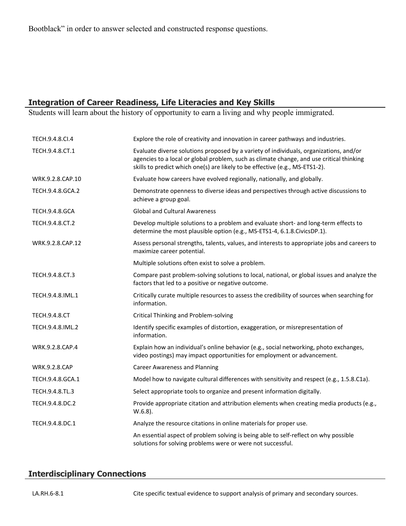Bootblack" in order to answer selected and constructed response questions.

#### **Integration of Career Readiness, Life Literacies and Key Skills**

Students will learn about the history of opportunity to earn a living and why people immigrated.

| TECH.9.4.8.CI.4       | Explore the role of creativity and innovation in career pathways and industries.                                                                                                                                                                                   |
|-----------------------|--------------------------------------------------------------------------------------------------------------------------------------------------------------------------------------------------------------------------------------------------------------------|
| TECH.9.4.8.CT.1       | Evaluate diverse solutions proposed by a variety of individuals, organizations, and/or<br>agencies to a local or global problem, such as climate change, and use critical thinking<br>skills to predict which one(s) are likely to be effective (e.g., MS-ETS1-2). |
| WRK.9.2.8.CAP.10      | Evaluate how careers have evolved regionally, nationally, and globally.                                                                                                                                                                                            |
| TECH.9.4.8.GCA.2      | Demonstrate openness to diverse ideas and perspectives through active discussions to<br>achieve a group goal.                                                                                                                                                      |
| <b>TECH.9.4.8.GCA</b> | <b>Global and Cultural Awareness</b>                                                                                                                                                                                                                               |
| TECH.9.4.8.CT.2       | Develop multiple solutions to a problem and evaluate short- and long-term effects to<br>determine the most plausible option (e.g., MS-ETS1-4, 6.1.8.CivicsDP.1).                                                                                                   |
| WRK.9.2.8.CAP.12      | Assess personal strengths, talents, values, and interests to appropriate jobs and careers to<br>maximize career potential.                                                                                                                                         |
|                       | Multiple solutions often exist to solve a problem.                                                                                                                                                                                                                 |
| TECH.9.4.8.CT.3       | Compare past problem-solving solutions to local, national, or global issues and analyze the<br>factors that led to a positive or negative outcome.                                                                                                                 |
| TECH.9.4.8.IML.1      | Critically curate multiple resources to assess the credibility of sources when searching for<br>information.                                                                                                                                                       |
| <b>TECH.9.4.8.CT</b>  | <b>Critical Thinking and Problem-solving</b>                                                                                                                                                                                                                       |
| TECH.9.4.8.IML.2      | Identify specific examples of distortion, exaggeration, or misrepresentation of<br>information.                                                                                                                                                                    |
| WRK.9.2.8.CAP.4       | Explain how an individual's online behavior (e.g., social networking, photo exchanges,<br>video postings) may impact opportunities for employment or advancement.                                                                                                  |
| <b>WRK.9.2.8.CAP</b>  | <b>Career Awareness and Planning</b>                                                                                                                                                                                                                               |
| TECH.9.4.8.GCA.1      | Model how to navigate cultural differences with sensitivity and respect (e.g., 1.5.8.C1a).                                                                                                                                                                         |
| TECH.9.4.8.TL.3       | Select appropriate tools to organize and present information digitally.                                                                                                                                                                                            |
| TECH.9.4.8.DC.2       | Provide appropriate citation and attribution elements when creating media products (e.g.,<br>$W.6.8$ ).                                                                                                                                                            |
| TECH.9.4.8.DC.1       | Analyze the resource citations in online materials for proper use.                                                                                                                                                                                                 |
|                       | An essential aspect of problem solving is being able to self-reflect on why possible<br>solutions for solving problems were or were not successful.                                                                                                                |

#### **Interdisciplinary Connections**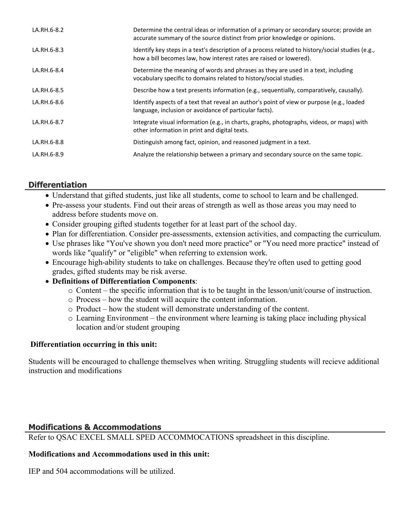| LA.RH.6-8.2 | Determine the central ideas or information of a primary or secondary source; provide an<br>accurate summary of the source distinct from prior knowledge or opinions.   |
|-------------|------------------------------------------------------------------------------------------------------------------------------------------------------------------------|
| LA.RH.6-8.3 | ldentify key steps in a text's description of a process related to history/social studies (e.g.,<br>how a bill becomes law, how interest rates are raised or lowered). |
| LA.RH.6-8.4 | Determine the meaning of words and phrases as they are used in a text, including<br>vocabulary specific to domains related to history/social studies.                  |
| LA.RH.6-8.5 | Describe how a text presents information (e.g., sequentially, comparatively, causally).                                                                                |
| LA.RH.6-8.6 | Identify aspects of a text that reveal an author's point of view or purpose (e.g., loaded<br>language, inclusion or avoidance of particular facts).                    |
| LA.RH.6-8.7 | Integrate visual information (e.g., in charts, graphs, photographs, videos, or maps) with<br>other information in print and digital texts.                             |
| LA.RH.6-8.8 | Distinguish among fact, opinion, and reasoned judgment in a text.                                                                                                      |
| LA.RH.6-8.9 | Analyze the relationship between a primary and secondary source on the same topic.                                                                                     |

## **Differentiation**

- Understand that gifted students, just like all students, come to school to learn and be challenged.
- Pre-assess your students. Find out their areas of strength as well as those areas you may need to address before students move on.
- Consider grouping gifted students together for at least part of the school day.
- Plan for differentiation. Consider pre-assessments, extension activities, and compacting the curriculum.
- Use phrases like "You've shown you don't need more practice" or "You need more practice" instead of words like "qualify" or "eligible" when referring to extension work.
- Encourage high-ability students to take on challenges. Because they're often used to getting good grades, gifted students may be risk averse.
- **Definitions of Differentiation Components**:
	- o Content the specific information that is to be taught in the lesson/unit/course of instruction.
	- o Process how the student will acquire the content information.
	- o Product how the student will demonstrate understanding of the content.
	- o Learning Environment the environment where learning is taking place including physical location and/or student grouping

## **Differentiation occurring in this unit:**

Students will be encouraged to challenge themselves when writing. Struggling students will recieve additional instruction and modifications

## **Modifications & Accommodations**

Refer to QSAC EXCEL SMALL SPED ACCOMMOCATIONS spreadsheet in this discipline.

## **Modifications and Accommodations used in this unit:**

IEP and 504 accommodations will be utilized.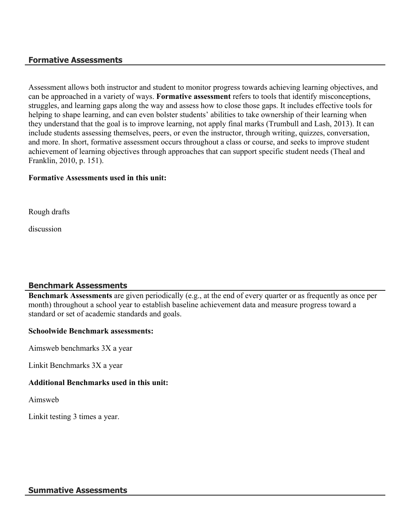#### **Formative Assessments**

Assessment allows both instructor and student to monitor progress towards achieving learning objectives, and can be approached in a variety of ways. **Formative assessment** refers to tools that identify misconceptions, struggles, and learning gaps along the way and assess how to close those gaps. It includes effective tools for helping to shape learning, and can even bolster students' abilities to take ownership of their learning when they understand that the goal is to improve learning, not apply final marks (Trumbull and Lash, 2013). It can include students assessing themselves, peers, or even the instructor, through writing, quizzes, conversation, and more. In short, formative assessment occurs throughout a class or course, and seeks to improve student achievement of learning objectives through approaches that can support specific student needs (Theal and Franklin, 2010, p. 151).

#### **Formative Assessments used in this unit:**

Rough drafts

discussion

#### **Benchmark Assessments**

**Benchmark Assessments** are given periodically (e.g., at the end of every quarter or as frequently as once per month) throughout a school year to establish baseline achievement data and measure progress toward a standard or set of academic standards and goals.

#### **Schoolwide Benchmark assessments:**

Aimsweb benchmarks 3X a year

Linkit Benchmarks 3X a year

#### **Additional Benchmarks used in this unit:**

Aimsweb

Linkit testing 3 times a year.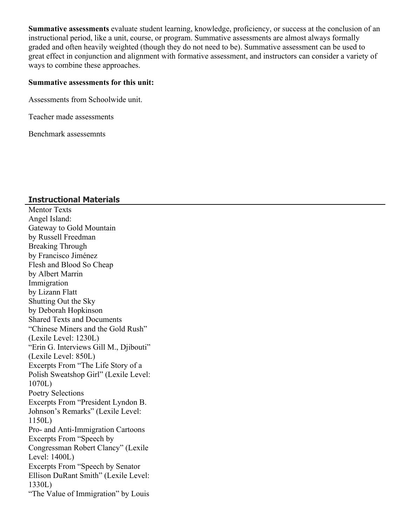**Summative assessments** evaluate student learning, knowledge, proficiency, or success at the conclusion of an instructional period, like a unit, course, or program. Summative assessments are almost always formally graded and often heavily weighted (though they do not need to be). Summative assessment can be used to great effect in conjunction and alignment with formative assessment, and instructors can consider a variety of ways to combine these approaches.

#### **Summative assessments for this unit:**

Assessments from Schoolwide unit.

Teacher made assessments

Benchmark assessemnts

#### **Instructional Materials**

Mentor Texts Angel Island: Gateway to Gold Mountain by Russell Freedman Breaking Through by Francisco Jiménez Flesh and Blood So Cheap by Albert Marrin Immigration by Lizann Flatt Shutting Out the Sky by Deborah Hopkinson Shared Texts and Documents "Chinese Miners and the Gold Rush" (Lexile Level: 1230L) "Erin G. Interviews Gill M., Djibouti" (Lexile Level: 850L) Excerpts From "The Life Story of a Polish Sweatshop Girl" (Lexile Level: 1070L) Poetry Selections Excerpts From "President Lyndon B. Johnson's Remarks" (Lexile Level: 1150L) Pro- and Anti-Immigration Cartoons Excerpts From "Speech by Congressman Robert Clancy" (Lexile Level: 1400L) Excerpts From "Speech by Senator Ellison DuRant Smith" (Lexile Level: 1330L) "The Value of Immigration" by Louis